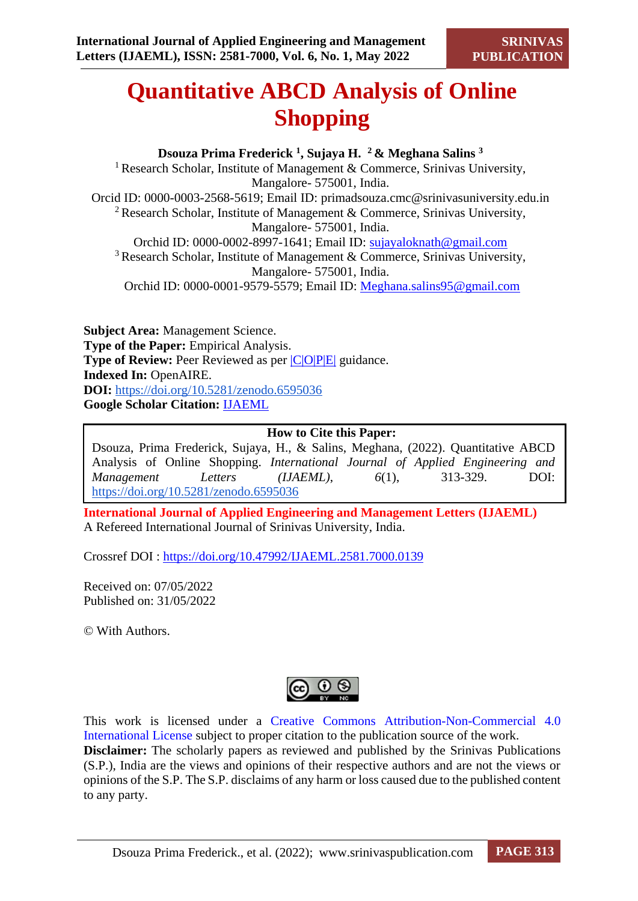# **Quantitative ABCD Analysis of Online Shopping**

**Dsouza Prima Frederick <sup>1</sup> , Sujaya H. <sup>2</sup>& Meghana Salins <sup>3</sup>** <sup>1</sup> Research Scholar, Institute of Management & Commerce, Srinivas University, Mangalore- 575001, India. Orcid ID: 0000-0003-2568-5619; Email ID: [primadsouza.cmc@srinivasuniversity.edu.in](mailto:primadsouza.cmc@srinivasuniversity.edu.in)  <sup>2</sup> Research Scholar, Institute of Management & Commerce, Srinivas University, Mangalore- 575001, India. Orchid ID: 0000-0002-8997-1641; Email ID: [sujayaloknath@gmail.com](mailto:sujayaloknath@gmail.com) <sup>3</sup> Research Scholar, Institute of Management & Commerce, Srinivas University, Mangalore- 575001, India. Orchid ID: 0000-0001-9579-5579; Email ID: [Meghana.salins95@gmail.com](mailto:Meghana.salins95@gmail.com)

**Subject Area:** Management Science. **Type of the Paper:** Empirical Analysis. **Type of Review:** Peer Reviewed as per  $|C|O||P|E|$  guidance. **Indexed In:** OpenAIRE. **DOI:** <https://doi.org/10.5281/zenodo.6595036> **Google Scholar Citation:** [IJAEML](https://scholar.google.com/citations?user=Wb7oZPYAAAAJ)

# **How to Cite this Paper:**

Dsouza, Prima Frederick, Sujaya, H., & Salins, Meghana, (2022). Quantitative ABCD Analysis of Online Shopping. *International Journal of Applied Engineering and Management Letters (IJAEML)*, *6*(1), 313-329. DOI: <https://doi.org/10.5281/zenodo.6595036>

**International Journal of Applied Engineering and Management Letters (IJAEML)** A Refereed International Journal of Srinivas University, India.

Crossref DOI : [https://doi.org/10.47992/IJAEML.2581.7000.0139](https://search.crossref.org/?q=10.47992%2FIJAEML.2581.7000.0139&from_ui=yes)

Received on: 07/05/2022 Published on: 31/05/2022

© With Authors.



This work is licensed under a Creative Commons Attribution-Non-Commercial 4.0 International License subject to proper citation to the publication source of the work. **Disclaimer:** The scholarly papers as reviewed and published by the Srinivas Publications (S.P.), India are the views and opinions of their respective authors and are not the views or opinions of the S.P. The S.P. disclaims of any harm or loss caused due to the published content to any party.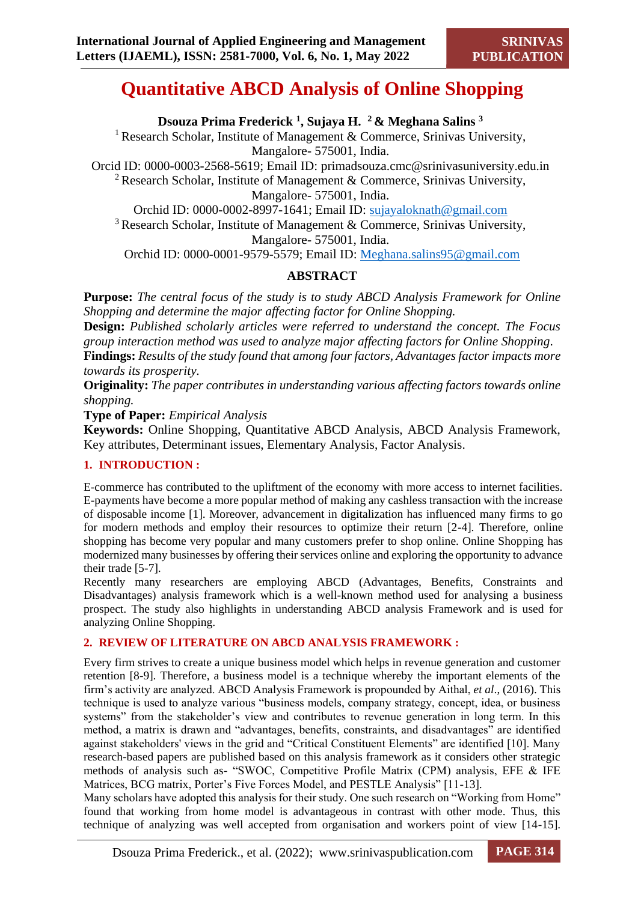# **Quantitative ABCD Analysis of Online Shopping**

**Dsouza Prima Frederick <sup>1</sup> , Sujaya H. <sup>2</sup>& Meghana Salins <sup>3</sup>**

<sup>1</sup> Research Scholar, Institute of Management & Commerce, Srinivas University, Mangalore- 575001, India.

Orcid ID: 0000-0003-2568-5619; Email ID: [primadsouza.cmc@srinivasuniversity.edu.in](mailto:primadsouza.cmc@srinivasuniversity.edu.in)  <sup>2</sup> Research Scholar, Institute of Management & Commerce, Srinivas University, Mangalore- 575001, India.

Orchid ID: 0000-0002-8997-1641; Email ID: [sujayaloknath@gmail.com](mailto:sujayaloknath@gmail.com)

<sup>3</sup> Research Scholar, Institute of Management & Commerce, Srinivas University, Mangalore- 575001, India.

Orchid ID: 0000-0001-9579-5579; Email ID: [Meghana.salins95@gmail.com](mailto:Meghana.salins95@gmail.com)

# **ABSTRACT**

**Purpose:** *The central focus of the study is to study ABCD Analysis Framework for Online Shopping and determine the major affecting factor for Online Shopping.*

**Design:** *Published scholarly articles were referred to understand the concept. The Focus group interaction method was used to analyze major affecting factors for Online Shopping*.

**Findings:** *Results of the study found that among four factors, Advantages factor impacts more towards its prosperity.* 

**Originality:** *The paper contributes in understanding various affecting factors towards online shopping.* 

**Type of Paper:** *Empirical Analysis*

**Keywords:** Online Shopping, Quantitative ABCD Analysis, ABCD Analysis Framework, Key attributes, Determinant issues, Elementary Analysis, Factor Analysis.

# **1. INTRODUCTION :**

E-commerce has contributed to the upliftment of the economy with more access to internet facilities. E-payments have become a more popular method of making any cashless transaction with the increase of disposable income [1]. Moreover, advancement in digitalization has influenced many firms to go for modern methods and employ their resources to optimize their return [2-4]. Therefore, online shopping has become very popular and many customers prefer to shop online. Online Shopping has modernized many businesses by offering their services online and exploring the opportunity to advance their trade [5-7].

Recently many researchers are employing ABCD (Advantages, Benefits, Constraints and Disadvantages) analysis framework which is a well-known method used for analysing a business prospect. The study also highlights in understanding ABCD analysis Framework and is used for analyzing Online Shopping.

# **2. REVIEW OF LITERATURE ON ABCD ANALYSIS FRAMEWORK :**

Every firm strives to create a unique business model which helps in revenue generation and customer retention [8-9]. Therefore, a business model is a technique whereby the important elements of the firm's activity are analyzed. ABCD Analysis Framework is propounded by Aithal, *et al*., (2016). This technique is used to analyze various "business models, company strategy, concept, idea, or business systems" from the stakeholder's view and contributes to revenue generation in long term. In this method, a matrix is drawn and "advantages, benefits, constraints, and disadvantages" are identified against stakeholders' views in the grid and "Critical Constituent Elements" are identified [10]. Many research-based papers are published based on this analysis framework as it considers other strategic methods of analysis such as- "SWOC, Competitive Profile Matrix (CPM) analysis, EFE & IFE Matrices, BCG matrix, Porter's Five Forces Model, and PESTLE Analysis" [11-13].

Many scholars have adopted this analysis for their study. One such research on "Working from Home" found that working from home model is advantageous in contrast with other mode. Thus, this technique of analyzing was well accepted from organisation and workers point of view [14-15].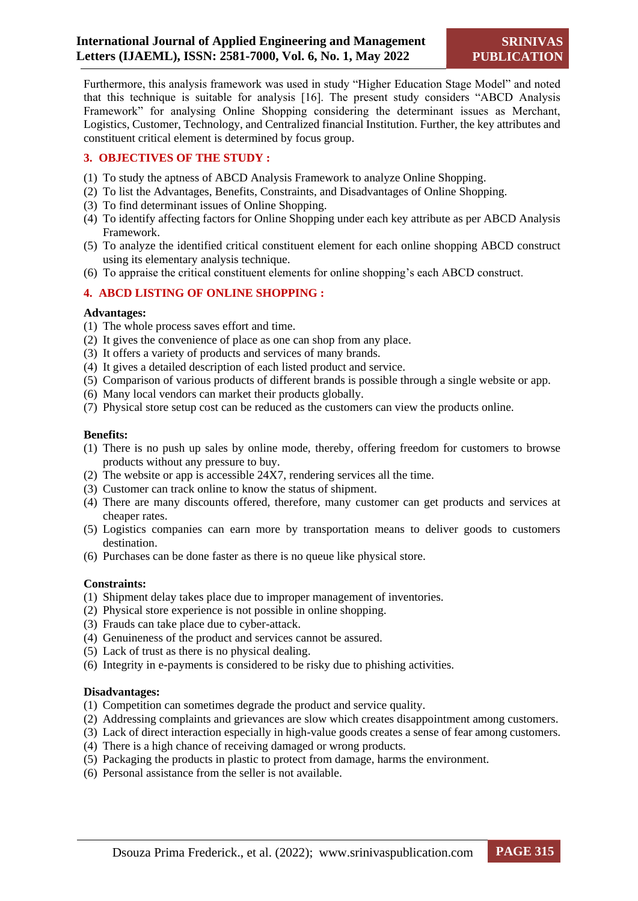Furthermore, this analysis framework was used in study "Higher Education Stage Model" and noted that this technique is suitable for analysis [16]. The present study considers "ABCD Analysis Framework" for analysing Online Shopping considering the determinant issues as Merchant, Logistics, Customer, Technology, and Centralized financial Institution. Further, the key attributes and constituent critical element is determined by focus group.

#### **3. OBJECTIVES OF THE STUDY :**

- (1) To study the aptness of ABCD Analysis Framework to analyze Online Shopping.
- (2) To list the Advantages, Benefits, Constraints, and Disadvantages of Online Shopping.
- (3) To find determinant issues of Online Shopping.
- (4) To identify affecting factors for Online Shopping under each key attribute as per ABCD Analysis Framework.
- (5) To analyze the identified critical constituent element for each online shopping ABCD construct using its elementary analysis technique.
- (6) To appraise the critical constituent elements for online shopping's each ABCD construct.

#### **4. ABCD LISTING OF ONLINE SHOPPING :**

#### **Advantages:**

- (1) The whole process saves effort and time.
- (2) It gives the convenience of place as one can shop from any place.
- (3) It offers a variety of products and services of many brands.
- (4) It gives a detailed description of each listed product and service.
- (5) Comparison of various products of different brands is possible through a single website or app.
- (6) Many local vendors can market their products globally.
- (7) Physical store setup cost can be reduced as the customers can view the products online.

#### **Benefits:**

- (1) There is no push up sales by online mode, thereby, offering freedom for customers to browse products without any pressure to buy.
- (2) The website or app is accessible  $24\overline{X}$ , rendering services all the time.
- (3) Customer can track online to know the status of shipment.
- (4) There are many discounts offered, therefore, many customer can get products and services at cheaper rates.
- (5) Logistics companies can earn more by transportation means to deliver goods to customers destination.
- (6) Purchases can be done faster as there is no queue like physical store.

#### **Constraints:**

- (1) Shipment delay takes place due to improper management of inventories.
- (2) Physical store experience is not possible in online shopping.
- (3) Frauds can take place due to cyber-attack.
- (4) Genuineness of the product and services cannot be assured.
- (5) Lack of trust as there is no physical dealing.
- (6) Integrity in e-payments is considered to be risky due to phishing activities.

#### **Disadvantages:**

- (1) Competition can sometimes degrade the product and service quality.
- (2) Addressing complaints and grievances are slow which creates disappointment among customers.
- (3) Lack of direct interaction especially in high-value goods creates a sense of fear among customers.
- (4) There is a high chance of receiving damaged or wrong products.
- (5) Packaging the products in plastic to protect from damage, harms the environment.
- (6) Personal assistance from the seller is not available.

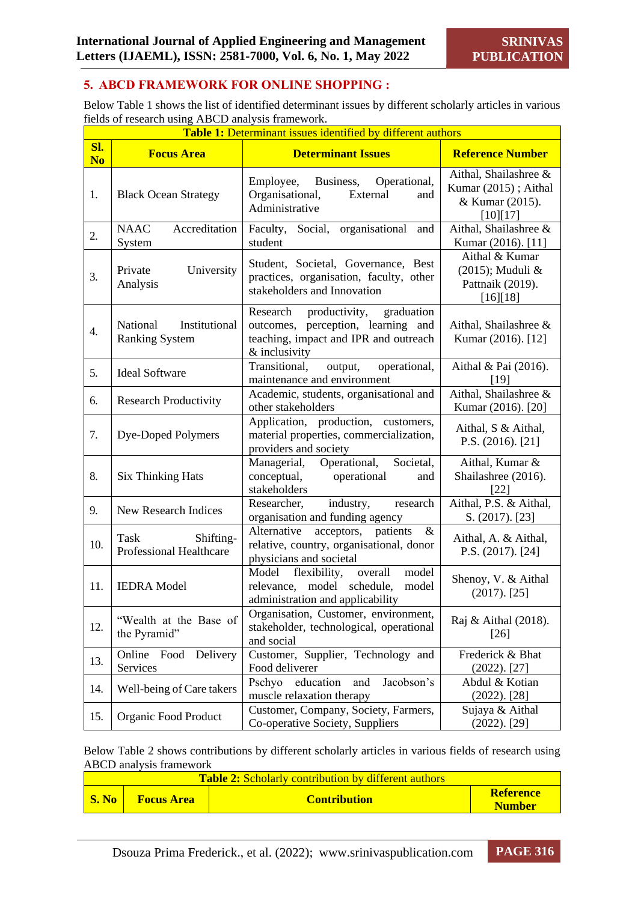### **5. ABCD FRAMEWORK FOR ONLINE SHOPPING :**

Below Table 1 shows the list of identified determinant issues by different scholarly articles in various fields of research using ABCD analysis framework.

|                       | <b>Table 1:</b> Determinant issues identified by different authors |                                                                                                                                           |                                                                              |  |  |
|-----------------------|--------------------------------------------------------------------|-------------------------------------------------------------------------------------------------------------------------------------------|------------------------------------------------------------------------------|--|--|
| Sl.<br>N <sub>o</sub> | <b>Focus Area</b>                                                  | <b>Determinant Issues</b>                                                                                                                 | <b>Reference Number</b>                                                      |  |  |
| 1.                    | <b>Black Ocean Strategy</b>                                        | Business,<br>Employee,<br>Operational,<br>Organisational,<br>External<br>and<br>Administrative                                            | Aithal, Shailashree &<br>Kumar (2015); Aithal<br>& Kumar (2015).<br>[10][17] |  |  |
| 2.                    | <b>NAAC</b><br>Accreditation<br>System                             | Faculty, Social, organisational<br>and<br>student                                                                                         | Aithal, Shailashree &<br>Kumar (2016). [11]                                  |  |  |
| 3.                    | University<br>Private<br>Analysis                                  | Student, Societal, Governance, Best<br>practices, organisation, faculty, other<br>stakeholders and Innovation                             | Aithal & Kumar<br>(2015); Muduli &<br>Pattnaik (2019).<br>[16][18]           |  |  |
| $\overline{4}$ .      | National<br>Institutional<br><b>Ranking System</b>                 | productivity,<br>graduation<br>Research<br>outcomes, perception, learning and<br>teaching, impact and IPR and outreach<br>$&$ inclusivity | Aithal, Shailashree &<br>Kumar (2016). [12]                                  |  |  |
| 5.                    | <b>Ideal Software</b>                                              | Transitional,<br>operational,<br>output,<br>maintenance and environment                                                                   | Aithal & Pai (2016).<br>[19]                                                 |  |  |
| 6.                    | <b>Research Productivity</b>                                       | Academic, students, organisational and<br>other stakeholders                                                                              | Aithal, Shailashree &<br>Kumar (2016). [20]                                  |  |  |
| 7.                    | Dye-Doped Polymers                                                 | Application, production, customers,<br>material properties, commercialization,<br>providers and society                                   | Aithal, S & Aithal,<br>P.S. $(2016)$ . $[21]$                                |  |  |
| 8.                    | <b>Six Thinking Hats</b>                                           | Operational,<br>Societal,<br>Managerial,<br>conceptual,<br>operational<br>and<br>stakeholders                                             | Aithal, Kumar &<br>Shailashree (2016).<br>$[22]$                             |  |  |
| 9.                    | New Research Indices                                               | Researcher,<br>industry,<br>research<br>organisation and funding agency                                                                   | Aithal, P.S. & Aithal,<br>S. (2017). [23]                                    |  |  |
| 10.                   | Shifting-<br>Task<br>Professional Healthcare                       | $\&$<br>Alternative<br>acceptors, patients<br>relative, country, organisational, donor<br>physicians and societal                         | Aithal, A. & Aithal,<br>P.S. (2017). [24]                                    |  |  |
| 11.                   | <b>IEDRA</b> Model                                                 | model<br>Model<br>flexibility,<br>overall<br>schedule,<br>model<br>model<br>relevance,<br>administration and applicability                | Shenoy, V. & Aithal<br>$(2017)$ . $[25]$                                     |  |  |
| 12.                   | "Wealth at the Base of<br>the Pyramid"                             | Organisation, Customer, environment,<br>stakeholder, technological, operational<br>and social                                             | Raj & Aithal (2018).<br>$[26]$                                               |  |  |
| 13.                   | Online Food Delivery<br>Services                                   | Customer, Supplier, Technology and<br>Food deliverer                                                                                      | Frederick & Bhat<br>$(2022)$ . [27]                                          |  |  |
| 14.                   | Well-being of Care takers                                          | Pschyo<br>education<br>Jacobson's<br>and<br>muscle relaxation therapy                                                                     | Abdul & Kotian<br>$(2022)$ . [28]                                            |  |  |
| 15.                   | Organic Food Product                                               | Customer, Company, Society, Farmers,<br>Co-operative Society, Suppliers                                                                   | Sujaya & Aithal<br>$(2022)$ . [29]                                           |  |  |

Below Table 2 shows contributions by different scholarly articles in various fields of research using ABCD analysis framework

| <b>Table 2:</b> Scholarly contribution by different authors |                   |                     |                                   |  |
|-------------------------------------------------------------|-------------------|---------------------|-----------------------------------|--|
| $\mid$ S. No                                                | <b>Focus Area</b> | <b>Contribution</b> | <b>Reference</b><br><b>Number</b> |  |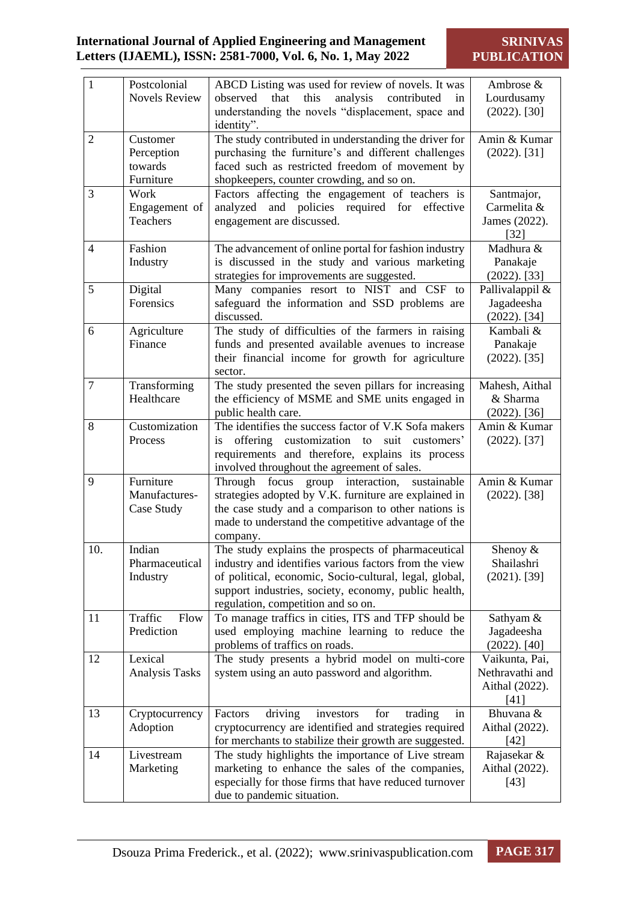**SRINIVAS PUBLICATION**

| $\mathbf{1}$   | Postcolonial               | ABCD Listing was used for review of novels. It was                                                           | Ambrose &                 |
|----------------|----------------------------|--------------------------------------------------------------------------------------------------------------|---------------------------|
|                | <b>Novels Review</b>       | that<br>this<br>analysis<br>contributed<br>observed<br>in                                                    | Lourdusamy                |
|                |                            | understanding the novels "displacement, space and                                                            | $(2022)$ . [30]           |
|                |                            | identity".                                                                                                   |                           |
| $\overline{2}$ | Customer                   | The study contributed in understanding the driver for                                                        | Amin & Kumar              |
|                | Perception<br>towards      | purchasing the furniture's and different challenges                                                          | $(2022)$ . [31]           |
|                | Furniture                  | faced such as restricted freedom of movement by                                                              |                           |
| 3              |                            | shopkeepers, counter crowding, and so on.                                                                    |                           |
|                | Work                       | Factors affecting the engagement of teachers is                                                              | Santmajor,<br>Carmelita & |
|                | Engagement of<br>Teachers  | analyzed and policies required for effective<br>engagement are discussed.                                    | James (2022).             |
|                |                            |                                                                                                              | $[32]$                    |
| $\overline{4}$ | Fashion                    | The advancement of online portal for fashion industry                                                        | Madhura &                 |
|                | Industry                   | is discussed in the study and various marketing                                                              | Panakaje                  |
|                |                            | strategies for improvements are suggested.                                                                   | $(2022)$ . [33]           |
| 5              | Digital                    | Many companies resort to NIST and CSF to                                                                     | Pallivalappil &           |
|                | Forensics                  | safeguard the information and SSD problems are                                                               | Jagadeesha                |
|                |                            | discussed.                                                                                                   | $(2022)$ . [34]           |
| 6              | Agriculture                | The study of difficulties of the farmers in raising                                                          | Kambali &                 |
|                | Finance                    | funds and presented available avenues to increase                                                            | Panakaje                  |
|                |                            | their financial income for growth for agriculture                                                            | $(2022)$ . [35]           |
|                |                            | sector.                                                                                                      |                           |
| 7              | Transforming               | The study presented the seven pillars for increasing                                                         | Mahesh, Aithal            |
|                | Healthcare                 | the efficiency of MSME and SME units engaged in                                                              | & Sharma                  |
|                |                            | public health care.                                                                                          | $(2022)$ . [36]           |
| 8              | Customization              | The identifies the success factor of V.K Sofa makers                                                         | Amin & Kumar              |
|                | Process                    | customization to suit customers'<br>offering<br><i>is</i>                                                    | $(2022)$ . [37]           |
|                |                            | requirements and therefore, explains its process                                                             |                           |
|                |                            | involved throughout the agreement of sales.                                                                  |                           |
| 9              | Furniture<br>Manufactures- | Through focus<br>group interaction, sustainable                                                              | Amin & Kumar              |
|                | Case Study                 | strategies adopted by V.K. furniture are explained in<br>the case study and a comparison to other nations is | $(2022)$ . [38]           |
|                |                            | made to understand the competitive advantage of the                                                          |                           |
|                |                            | company.                                                                                                     |                           |
| 10.            | Indian                     | The study explains the prospects of pharmaceutical                                                           | Shenoy &                  |
|                | Pharmaceutical             | industry and identifies various factors from the view                                                        | Shailashri                |
|                | Industry                   | of political, economic, Socio-cultural, legal, global,                                                       | $(2021)$ . [39]           |
|                |                            | support industries, society, economy, public health,                                                         |                           |
|                |                            | regulation, competition and so on.                                                                           |                           |
| 11             | Traffic<br>Flow            | To manage traffics in cities, ITS and TFP should be                                                          | Sathyam &                 |
|                | Prediction                 | used employing machine learning to reduce the                                                                | Jagadeesha                |
|                |                            | problems of traffics on roads.                                                                               | $(2022)$ . [40]           |
| 12             | Lexical                    | The study presents a hybrid model on multi-core                                                              | Vaikunta, Pai,            |
|                | <b>Analysis Tasks</b>      | system using an auto password and algorithm.                                                                 | Nethravathi and           |
|                |                            |                                                                                                              | Aithal (2022).            |
|                |                            |                                                                                                              | [41]                      |
| 13             | Cryptocurrency             | driving<br>Factors<br>investors<br>for<br>trading<br>in                                                      | Bhuvana &                 |
|                | Adoption                   | cryptocurrency are identified and strategies required                                                        | Aithal (2022).            |
|                |                            | for merchants to stabilize their growth are suggested.                                                       | $[42]$                    |
| 14             | Livestream                 | The study highlights the importance of Live stream                                                           | Rajasekar &               |
|                | Marketing                  | marketing to enhance the sales of the companies,                                                             | Aithal (2022).            |
|                |                            | especially for those firms that have reduced turnover                                                        | $[43]$                    |
|                |                            | due to pandemic situation.                                                                                   |                           |

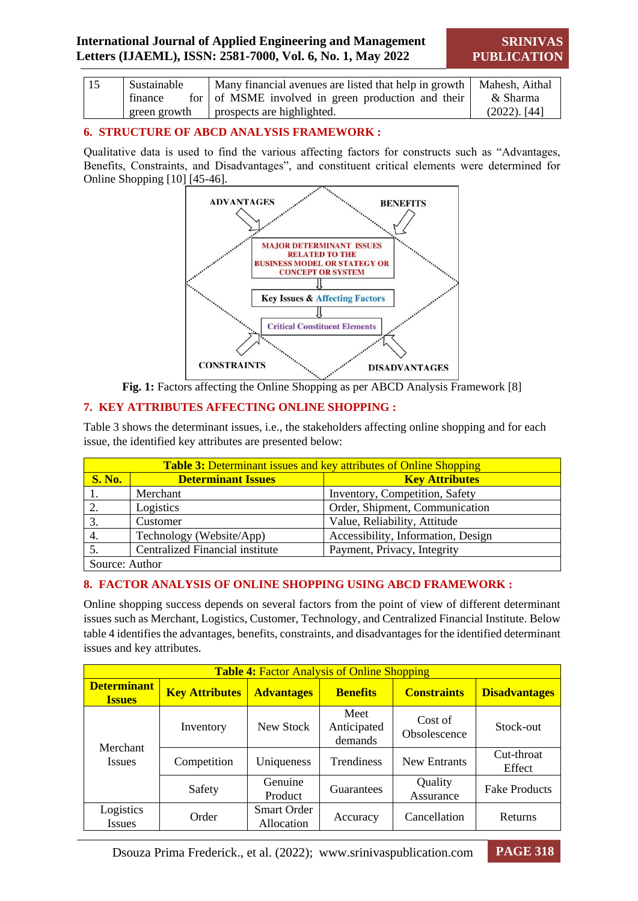**SRINIVAS PUBLICATION**

| <sup>15</sup> | Sustainable  | Many financial avenues are listed that help in growth   Mahesh, Aithal |                 |
|---------------|--------------|------------------------------------------------------------------------|-----------------|
|               | finance      | for of MSME involved in green production and their                     | & Sharma        |
|               | green growth | prospects are highlighted.                                             | $(2022)$ . [44] |

#### **6. STRUCTURE OF ABCD ANALYSIS FRAMEWORK :**

Qualitative data is used to find the various affecting factors for constructs such as "Advantages, Benefits, Constraints, and Disadvantages", and constituent critical elements were determined for Online Shopping [10] [45-46].





#### **7. KEY ATTRIBUTES AFFECTING ONLINE SHOPPING :**

Table 3 shows the determinant issues, i.e., the stakeholders affecting online shopping and for each issue, the identified key attributes are presented below:

| <b>Table 3:</b> Determinant issues and key attributes of Online Shopping |                           |                                    |  |  |
|--------------------------------------------------------------------------|---------------------------|------------------------------------|--|--|
| <b>S. No.</b>                                                            | <b>Determinant Issues</b> | <b>Key Attributes</b>              |  |  |
|                                                                          | Merchant                  | Inventory, Competition, Safety     |  |  |
|                                                                          | Logistics                 | Order, Shipment, Communication     |  |  |
| 3.                                                                       | Customer                  | Value, Reliability, Attitude       |  |  |
| 4.                                                                       | Technology (Website/App)  | Accessibility, Information, Design |  |  |
| <b>Centralized Financial institute</b><br>Payment, Privacy, Integrity    |                           |                                    |  |  |
| Source: Author                                                           |                           |                                    |  |  |

#### **8. FACTOR ANALYSIS OF ONLINE SHOPPING USING ABCD FRAMEWORK :**

Online shopping success depends on several factors from the point of view of different determinant issues such as Merchant, Logistics, Customer, Technology, and Centralized Financial Institute. Below table 4 identifies the advantages, benefits, constraints, and disadvantages for the identified determinant issues and key attributes.

| <b>Table 4: Factor Analysis of Online Shopping</b> |                       |                                  |                                |                         |                      |  |
|----------------------------------------------------|-----------------------|----------------------------------|--------------------------------|-------------------------|----------------------|--|
| <b>Determinant</b><br><b>Issues</b>                | <b>Key Attributes</b> | <b>Advantages</b>                | <b>Benefits</b>                | <b>Constraints</b>      | <b>Disadvantages</b> |  |
|                                                    | Inventory             | New Stock                        | Meet<br>Anticipated<br>demands | Cost of<br>Obsolescence | Stock-out            |  |
| Merchant<br><i>Issues</i>                          | Competition           | Uniqueness                       | Trendiness                     | <b>New Entrants</b>     | Cut-throat<br>Effect |  |
|                                                    | Safety                | Genuine<br>Product               | Guarantees                     | Quality<br>Assurance    | <b>Fake Products</b> |  |
| Logistics<br><b>Issues</b>                         | Order                 | <b>Smart Order</b><br>Allocation | Accuracy                       | Cancellation            | <b>Returns</b>       |  |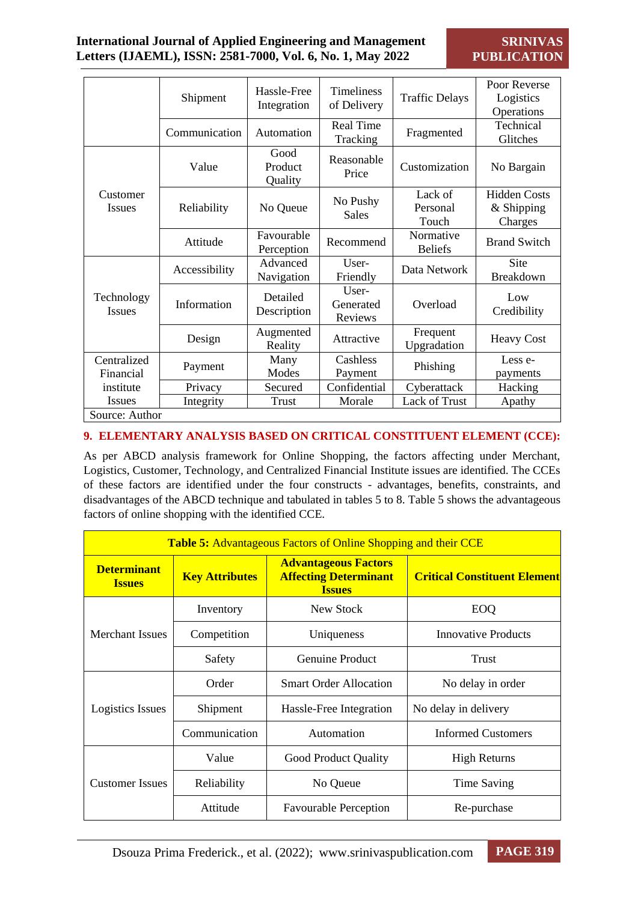|                             |                |                            |                               |                              | Poor Reverse                                 |  |  |
|-----------------------------|----------------|----------------------------|-------------------------------|------------------------------|----------------------------------------------|--|--|
|                             | Shipment       | Hassle-Free                | <b>Timeliness</b>             | <b>Traffic Delays</b>        | Logistics                                    |  |  |
|                             |                | Integration                | of Delivery                   |                              | Operations                                   |  |  |
|                             | Communication  | Automation                 | <b>Real Time</b><br>Tracking  | Fragmented                   | Technical<br>Glitches                        |  |  |
|                             | Value          | Good<br>Product<br>Quality | Reasonable<br>Price           | Customization                | No Bargain                                   |  |  |
| Customer<br><b>Issues</b>   | Reliability    | No Queue                   | No Pushy<br><b>Sales</b>      | Lack of<br>Personal<br>Touch | <b>Hidden Costs</b><br>& Shipping<br>Charges |  |  |
|                             | Attitude       | Favourable<br>Perception   | Recommend                     | Normative<br><b>Beliefs</b>  | <b>Brand Switch</b>                          |  |  |
|                             | Accessibility  | Advanced<br>Navigation     | User-<br>Friendly             | Data Network                 | Site<br>Breakdown                            |  |  |
| Technology<br><b>Issues</b> | Information    | Detailed<br>Description    | User-<br>Generated<br>Reviews | Overload                     | Low<br>Credibility                           |  |  |
|                             | Design         | Augmented<br>Reality       | Attractive                    | Frequent<br>Upgradation      | <b>Heavy Cost</b>                            |  |  |
| Centralized<br>Financial    | Payment        | Many<br>Modes              | Cashless<br>Payment           | Phishing                     | Less e-<br>payments                          |  |  |
| institute                   | Privacy        | Secured                    | Confidential                  | Cyberattack                  | Hacking                                      |  |  |
| <b>Issues</b>               | Integrity      | Trust                      | Morale                        | Lack of Trust                | Apathy                                       |  |  |
|                             | Source: Author |                            |                               |                              |                                              |  |  |

#### **9. ELEMENTARY ANALYSIS BASED ON CRITICAL CONSTITUENT ELEMENT (CCE):**

As per ABCD analysis framework for Online Shopping, the factors affecting under Merchant, Logistics, Customer, Technology, and Centralized Financial Institute issues are identified. The CCEs of these factors are identified under the four constructs - advantages, benefits, constraints, and disadvantages of the ABCD technique and tabulated in tables 5 to 8. Table 5 shows the advantageous factors of online shopping with the identified CCE.

| <b>Table 5:</b> Advantageous Factors of Online Shopping and their CCE |                       |                                                                              |                                     |  |  |  |
|-----------------------------------------------------------------------|-----------------------|------------------------------------------------------------------------------|-------------------------------------|--|--|--|
| <b>Determinant</b><br><b>Issues</b>                                   | <b>Key Attributes</b> | <b>Advantageous Factors</b><br><b>Affecting Determinant</b><br><b>Issues</b> | <b>Critical Constituent Element</b> |  |  |  |
|                                                                       | Inventory             | New Stock                                                                    | EOQ                                 |  |  |  |
| <b>Merchant Issues</b>                                                | Competition           | Uniqueness                                                                   | Innovative Products                 |  |  |  |
|                                                                       | Safety                | Genuine Product                                                              | Trust                               |  |  |  |
|                                                                       | Order                 | <b>Smart Order Allocation</b>                                                | No delay in order                   |  |  |  |
| Logistics Issues                                                      | Shipment              | Hassle-Free Integration                                                      | No delay in delivery                |  |  |  |
|                                                                       | Communication         | Automation                                                                   | <b>Informed Customers</b>           |  |  |  |
|                                                                       | Value                 | <b>Good Product Quality</b>                                                  | <b>High Returns</b>                 |  |  |  |
| <b>Customer Issues</b>                                                | Reliability           | No Queue                                                                     | Time Saving                         |  |  |  |
|                                                                       | Attitude              | <b>Favourable Perception</b>                                                 | Re-purchase                         |  |  |  |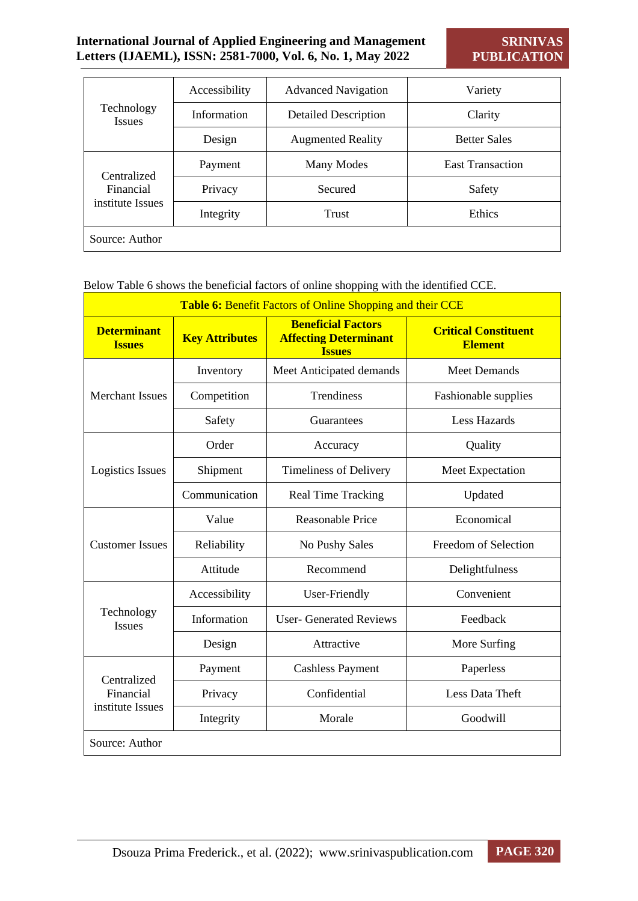|                             | Accessibility | <b>Advanced Navigation</b>  | Variety                 |  |
|-----------------------------|---------------|-----------------------------|-------------------------|--|
| Technology<br><b>Issues</b> | Information   | <b>Detailed Description</b> | Clarity                 |  |
|                             | Design        | <b>Augmented Reality</b>    | <b>Better Sales</b>     |  |
| Centralized                 | Payment       | Many Modes                  | <b>East Transaction</b> |  |
| Financial                   | Privacy       | Secured                     | Safety                  |  |
| institute Issues            | Integrity     | Trust                       | Ethics                  |  |
| Source: Author              |               |                             |                         |  |

Below Table 6 shows the beneficial factors of online shopping with the identified CCE.

| <b>Table 6: Benefit Factors of Online Shopping and their CCE</b> |                       |                                                                            |                                               |  |  |
|------------------------------------------------------------------|-----------------------|----------------------------------------------------------------------------|-----------------------------------------------|--|--|
| <b>Determinant</b><br><b>Issues</b>                              | <b>Key Attributes</b> | <b>Beneficial Factors</b><br><b>Affecting Determinant</b><br><b>Issues</b> | <b>Critical Constituent</b><br><b>Element</b> |  |  |
|                                                                  | Inventory             | Meet Anticipated demands                                                   | <b>Meet Demands</b>                           |  |  |
| <b>Merchant Issues</b>                                           | Competition           | Trendiness                                                                 | Fashionable supplies                          |  |  |
|                                                                  | Safety                | Guarantees                                                                 | <b>Less Hazards</b>                           |  |  |
|                                                                  | Order                 | Accuracy                                                                   | Quality                                       |  |  |
| Logistics Issues                                                 | Shipment              | Timeliness of Delivery                                                     | Meet Expectation                              |  |  |
|                                                                  | Communication         | <b>Real Time Tracking</b>                                                  | Updated                                       |  |  |
|                                                                  | Value                 | <b>Reasonable Price</b>                                                    | Economical                                    |  |  |
| <b>Customer Issues</b>                                           | Reliability           | No Pushy Sales                                                             | Freedom of Selection                          |  |  |
|                                                                  | Attitude              | Recommend                                                                  | Delightfulness                                |  |  |
|                                                                  | Accessibility         | <b>User-Friendly</b>                                                       | Convenient                                    |  |  |
| Technology<br><b>Issues</b>                                      | Information           | <b>User- Generated Reviews</b>                                             | Feedback                                      |  |  |
|                                                                  | Design                | Attractive                                                                 | More Surfing                                  |  |  |
| Centralized                                                      | Payment               | <b>Cashless Payment</b>                                                    | Paperless                                     |  |  |
| Financial                                                        | Privacy               | Confidential                                                               | Less Data Theft                               |  |  |
| institute Issues                                                 | Integrity             | Morale                                                                     | Goodwill                                      |  |  |
| Source: Author                                                   |                       |                                                                            |                                               |  |  |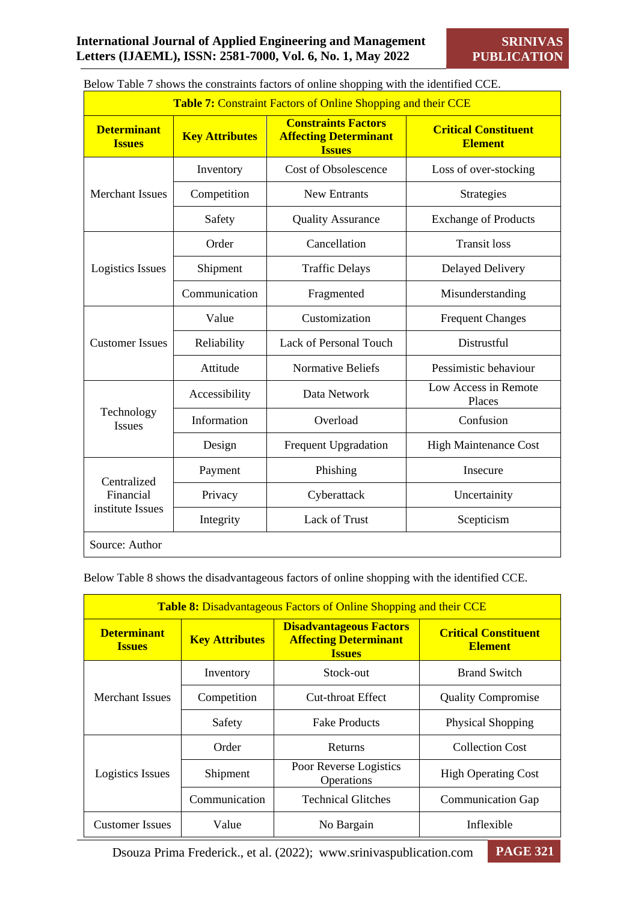| <b>Table 7: Constraint Factors of Online Shopping and their CCE</b> |                       |                                                                             |                                               |  |  |
|---------------------------------------------------------------------|-----------------------|-----------------------------------------------------------------------------|-----------------------------------------------|--|--|
| <b>Determinant</b><br><b>Issues</b>                                 | <b>Key Attributes</b> | <b>Constraints Factors</b><br><b>Affecting Determinant</b><br><b>Issues</b> | <b>Critical Constituent</b><br><b>Element</b> |  |  |
|                                                                     | Inventory             | <b>Cost of Obsolescence</b>                                                 | Loss of over-stocking                         |  |  |
| <b>Merchant Issues</b>                                              | Competition           | <b>New Entrants</b>                                                         | Strategies                                    |  |  |
|                                                                     | Safety                | <b>Quality Assurance</b>                                                    | <b>Exchange of Products</b>                   |  |  |
|                                                                     | Order                 | Cancellation                                                                | <b>Transit loss</b>                           |  |  |
| Logistics Issues                                                    | Shipment              | <b>Traffic Delays</b>                                                       | <b>Delayed Delivery</b>                       |  |  |
|                                                                     | Communication         | Fragmented                                                                  | Misunderstanding                              |  |  |
|                                                                     | Value                 | Customization                                                               | <b>Frequent Changes</b>                       |  |  |
| <b>Customer Issues</b>                                              | Reliability           | Lack of Personal Touch                                                      | Distrustful                                   |  |  |
|                                                                     | Attitude              | <b>Normative Beliefs</b>                                                    | Pessimistic behaviour                         |  |  |
|                                                                     | Accessibility         | Data Network                                                                | Low Access in Remote<br>Places                |  |  |
| Technology<br><b>Issues</b>                                         | Information           | Overload                                                                    | Confusion                                     |  |  |
|                                                                     | Design                | <b>Frequent Upgradation</b>                                                 | <b>High Maintenance Cost</b>                  |  |  |
| Centralized                                                         | Payment               | Phishing                                                                    | Insecure                                      |  |  |
| Financial                                                           | Privacy               | Cyberattack                                                                 | Uncertainity                                  |  |  |
| institute Issues                                                    | Integrity             | <b>Lack of Trust</b>                                                        | Scepticism                                    |  |  |
| Source: Author                                                      |                       |                                                                             |                                               |  |  |

Below Table 7 shows the constraints factors of online shopping with the identified CCE.

Below Table 8 shows the disadvantageous factors of online shopping with the identified CCE.

| <b>Table 8:</b> Disadvantageous Factors of Online Shopping and their CCE |                       |                                                                                 |                                               |  |  |  |
|--------------------------------------------------------------------------|-----------------------|---------------------------------------------------------------------------------|-----------------------------------------------|--|--|--|
| <b>Determinant</b><br><b>Issues</b>                                      | <b>Key Attributes</b> | <b>Disadvantageous Factors</b><br><b>Affecting Determinant</b><br><b>Issues</b> | <b>Critical Constituent</b><br><b>Element</b> |  |  |  |
|                                                                          | Inventory             | Stock-out                                                                       | <b>Brand Switch</b>                           |  |  |  |
| Merchant Issues                                                          | Competition           | Cut-throat Effect                                                               | <b>Quality Compromise</b>                     |  |  |  |
|                                                                          | Safety                | <b>Fake Products</b>                                                            | <b>Physical Shopping</b>                      |  |  |  |
|                                                                          | Order                 | Returns                                                                         | <b>Collection Cost</b>                        |  |  |  |
| Logistics Issues                                                         | Shipment              | Poor Reverse Logistics<br>Operations                                            | <b>High Operating Cost</b>                    |  |  |  |
|                                                                          | Communication         | <b>Technical Glitches</b>                                                       | <b>Communication Gap</b>                      |  |  |  |
| <b>Customer Issues</b>                                                   | Value                 | No Bargain                                                                      | Inflexible                                    |  |  |  |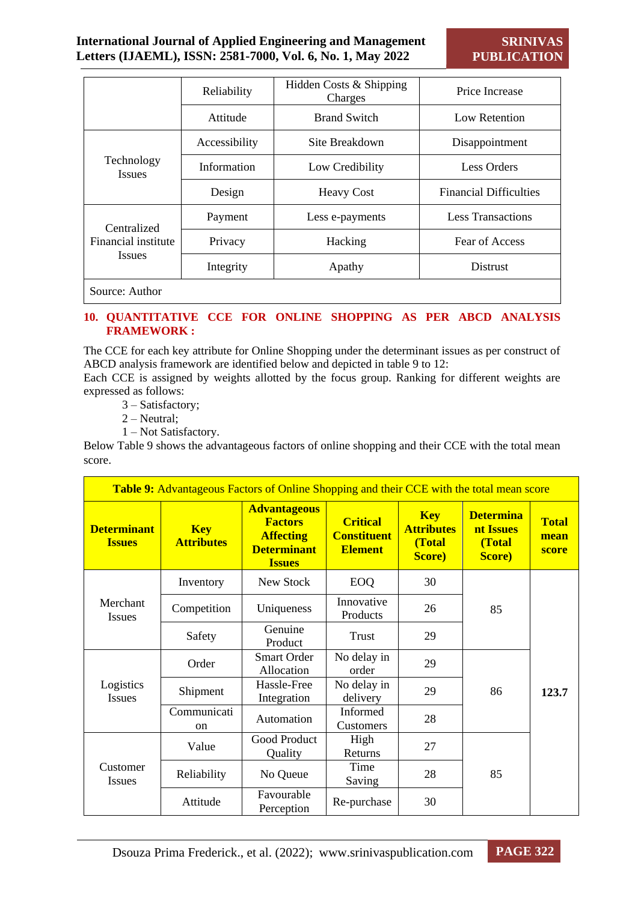|                                                     | Reliability   | Hidden Costs & Shipping<br>Charges | Price Increase                |  |
|-----------------------------------------------------|---------------|------------------------------------|-------------------------------|--|
|                                                     | Attitude      | <b>Brand Switch</b>                | Low Retention                 |  |
| Technology<br><b>Issues</b>                         | Accessibility | Site Breakdown                     | Disappointment                |  |
|                                                     | Information   | Low Credibility                    | <b>Less Orders</b>            |  |
|                                                     | Design        | <b>Heavy Cost</b>                  | <b>Financial Difficulties</b> |  |
| Centralized<br>Financial institute<br><i>Issues</i> | Payment       | Less e-payments                    | <b>Less Transactions</b>      |  |
|                                                     | Privacy       | Hacking                            | Fear of Access                |  |
|                                                     | Integrity     | Apathy                             | <b>Distrust</b>               |  |
| Source: Author                                      |               |                                    |                               |  |

#### **10. QUANTITATIVE CCE FOR ONLINE SHOPPING AS PER ABCD ANALYSIS FRAMEWORK :**

The CCE for each key attribute for Online Shopping under the determinant issues as per construct of ABCD analysis framework are identified below and depicted in table 9 to 12:

Each CCE is assigned by weights allotted by the focus group. Ranking for different weights are expressed as follows:

- 3 Satisfactory;
- 2 Neutral;
- 1 Not Satisfactory.

Below Table 9 shows the advantageous factors of online shopping and their CCE with the total mean score.

|                                     |                                 | <b>Table 9:</b> Advantageous Factors of Online Shopping and their CCE with the total mean score  |                                                         |                                                     |                                                   |                               |
|-------------------------------------|---------------------------------|--------------------------------------------------------------------------------------------------|---------------------------------------------------------|-----------------------------------------------------|---------------------------------------------------|-------------------------------|
| <b>Determinant</b><br><b>Issues</b> | <b>Key</b><br><b>Attributes</b> | <b>Advantageous</b><br><b>Factors</b><br><b>Affecting</b><br><b>Determinant</b><br><b>Issues</b> | <b>Critical</b><br><b>Constituent</b><br><b>Element</b> | <b>Key</b><br><b>Attributes</b><br>(Total<br>Score) | <b>Determina</b><br>nt Issues<br>(Total<br>Score) | <b>Total</b><br>mean<br>score |
|                                     | Inventory                       | New Stock                                                                                        | EOQ                                                     | 30                                                  |                                                   |                               |
| Merchant<br><b>Issues</b>           | Competition                     | Uniqueness                                                                                       | Innovative<br>Products                                  | 26                                                  | 85                                                |                               |
|                                     | Safety                          | Genuine<br>Product                                                                               | <b>Trust</b>                                            | 29                                                  |                                                   |                               |
|                                     | Order                           | <b>Smart Order</b><br>Allocation                                                                 | No delay in<br>order                                    | 29                                                  |                                                   |                               |
| Logistics<br><b>Issues</b>          | Shipment                        | Hassle-Free<br>Integration                                                                       | No delay in<br>delivery                                 | 29                                                  | 86                                                | 123.7                         |
|                                     | Communicati<br><sub>on</sub>    | Automation                                                                                       | Informed<br>Customers                                   | 28                                                  |                                                   |                               |
|                                     | Value                           | Good Product<br>Quality                                                                          | High<br>Returns                                         | 27                                                  |                                                   |                               |
| Customer<br><i>Issues</i>           | Reliability                     | No Queue                                                                                         | Time<br>Saving                                          | 28                                                  | 85                                                |                               |
|                                     | Attitude                        | Favourable<br>Perception                                                                         | Re-purchase                                             | 30                                                  |                                                   |                               |

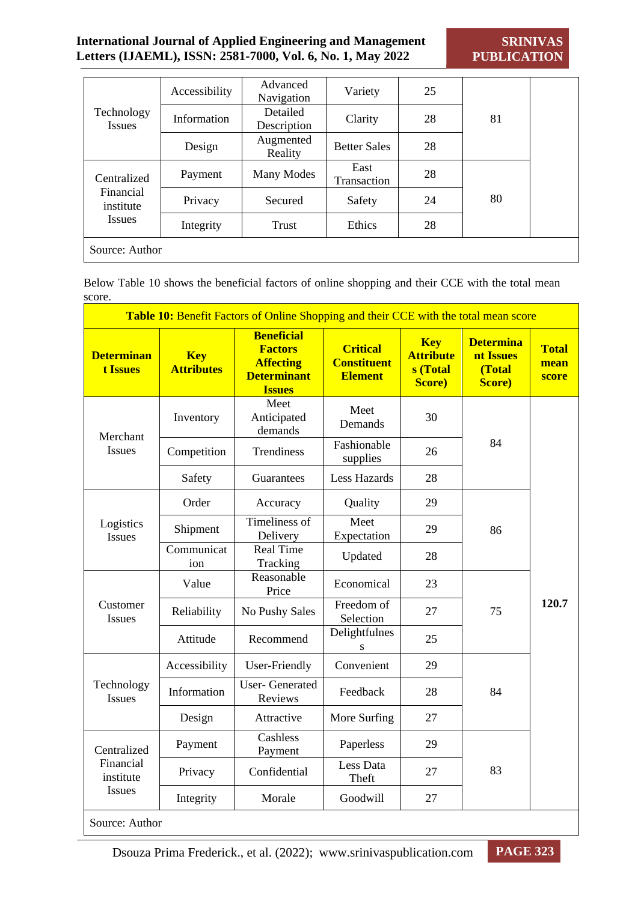**SRINIVAS PUBLICATION**

| Technology<br><b>Issues</b>                            | Accessibility | Advanced<br>Navigation  | Variety                    | 25 |    |  |
|--------------------------------------------------------|---------------|-------------------------|----------------------------|----|----|--|
|                                                        | Information   | Detailed<br>Description | Clarity                    | 28 | 81 |  |
|                                                        | Design        | Augmented<br>Reality    | <b>Better Sales</b>        | 28 |    |  |
| Centralized<br>Financial<br>institute<br><i>Issues</i> | Payment       | Many Modes              | East<br><b>Transaction</b> | 28 |    |  |
|                                                        | Privacy       | Secured                 | Safety                     | 24 | 80 |  |
|                                                        | Integrity     | Trust                   | Ethics                     | 28 |    |  |
| Source: Author                                         |               |                         |                            |    |    |  |

Below Table 10 shows the beneficial factors of online shopping and their CCE with the total mean score.

|                                      |                                 | Table 10: Benefit Factors of Online Shopping and their CCE with the total mean score           |                                                         |                                                      |                                                   |                               |
|--------------------------------------|---------------------------------|------------------------------------------------------------------------------------------------|---------------------------------------------------------|------------------------------------------------------|---------------------------------------------------|-------------------------------|
| <b>Determinan</b><br><b>t Issues</b> | <b>Key</b><br><b>Attributes</b> | <b>Beneficial</b><br><b>Factors</b><br><b>Affecting</b><br><b>Determinant</b><br><b>Issues</b> | <b>Critical</b><br><b>Constituent</b><br><b>Element</b> | <b>Key</b><br><b>Attribute</b><br>s (Total<br>Score) | <b>Determina</b><br>nt Issues<br>(Total<br>Score) | <b>Total</b><br>mean<br>score |
| Merchant                             | Inventory                       | Meet<br>Anticipated<br>demands                                                                 | Meet<br>Demands                                         | 30                                                   |                                                   |                               |
| <b>Issues</b>                        | Competition                     | Trendiness                                                                                     | Fashionable<br>supplies                                 | 26                                                   | 84                                                |                               |
|                                      | Safety                          | Guarantees                                                                                     | <b>Less Hazards</b>                                     | 28                                                   |                                                   |                               |
|                                      | Order                           | Accuracy                                                                                       | Quality                                                 | 29                                                   |                                                   |                               |
| Logistics<br><b>Issues</b>           | Shipment                        | Timeliness of<br>Delivery                                                                      | Meet<br>Expectation                                     | 29                                                   | 86                                                |                               |
|                                      | Communicat<br>ion               | <b>Real Time</b><br>Tracking                                                                   | Updated                                                 | 28                                                   |                                                   |                               |
|                                      | Value                           | Reasonable<br>Price                                                                            | Economical                                              | 23                                                   |                                                   |                               |
| Customer<br><b>Issues</b>            | Reliability                     | No Pushy Sales                                                                                 | Freedom of<br>Selection                                 | 27                                                   | 75                                                | 120.7                         |
|                                      | Attitude                        | Recommend                                                                                      | Delightfulnes<br>S                                      | 25                                                   |                                                   |                               |
|                                      | Accessibility                   | User-Friendly                                                                                  | Convenient                                              | 29                                                   |                                                   |                               |
| Technology<br><b>Issues</b>          | Information                     | <b>User-Generated</b><br>Reviews                                                               | Feedback                                                | 28                                                   | 84                                                |                               |
|                                      | Design                          | Attractive                                                                                     | More Surfing                                            | 27                                                   |                                                   |                               |
| Centralized                          | Payment                         | Cashless<br>Payment                                                                            | Paperless                                               | 29                                                   |                                                   |                               |
| Financial<br>institute               | Privacy                         | Confidential                                                                                   | Less Data<br>Theft                                      | 27                                                   | 83                                                |                               |
| <i>Issues</i>                        | Integrity                       | Morale                                                                                         | Goodwill                                                | 27                                                   |                                                   |                               |
| Source: Author                       |                                 |                                                                                                |                                                         |                                                      |                                                   |                               |

Dsouza Prima Frederick., et al. (2022); www.srinivaspublication.com **PAGE 323**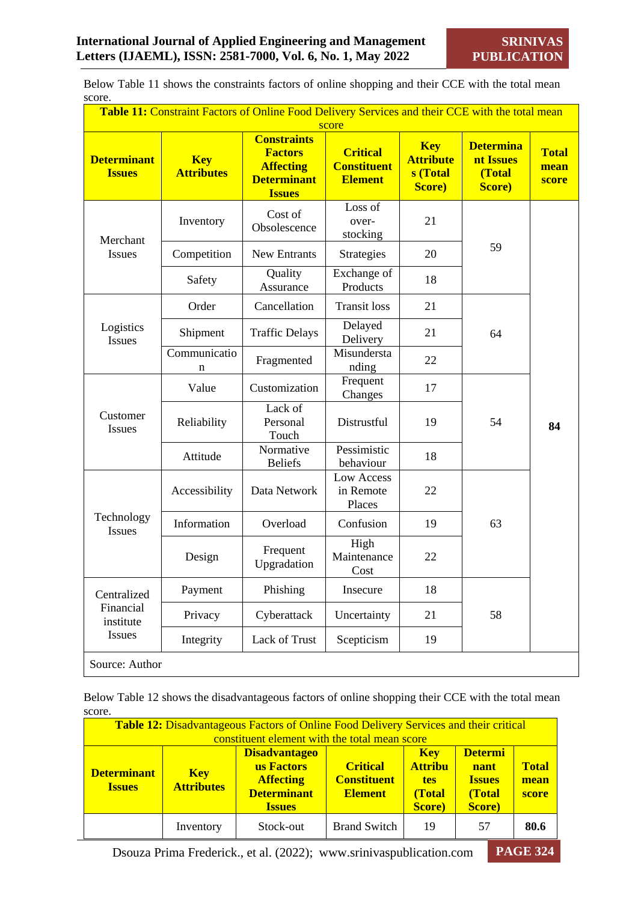Below Table 11 shows the constraints factors of online shopping and their CCE with the total mean score.

|                                     | Table 11: Constraint Factors of Online Food Delivery Services and their CCE with the total mean |                                                                                                 | score                                                   |                                                              |                                                           |                               |
|-------------------------------------|-------------------------------------------------------------------------------------------------|-------------------------------------------------------------------------------------------------|---------------------------------------------------------|--------------------------------------------------------------|-----------------------------------------------------------|-------------------------------|
| <b>Determinant</b><br><b>Issues</b> | <b>Key</b><br><b>Attributes</b>                                                                 | <b>Constraints</b><br><b>Factors</b><br><b>Affecting</b><br><b>Determinant</b><br><b>Issues</b> | <b>Critical</b><br><b>Constituent</b><br><b>Element</b> | <b>Key</b><br><b>Attribute</b><br>s (Total<br><b>Score</b> ) | <b>Determina</b><br>nt Issues<br>(Total<br><b>Score</b> ) | <b>Total</b><br>mean<br>score |
| Merchant                            | Inventory                                                                                       | Cost of<br>Obsolescence                                                                         | Loss of<br>over-<br>stocking                            | 21                                                           |                                                           |                               |
| Issues                              | Competition                                                                                     | New Entrants                                                                                    | Strategies                                              | 20                                                           | 59                                                        |                               |
|                                     | Safety                                                                                          | Quality<br>Assurance                                                                            | Exchange of<br>Products                                 | 18                                                           |                                                           |                               |
|                                     | Order                                                                                           | Cancellation                                                                                    | <b>Transit loss</b>                                     | 21                                                           |                                                           |                               |
| Logistics<br><b>Issues</b>          | Shipment                                                                                        | <b>Traffic Delays</b>                                                                           | Delayed<br>Delivery                                     | 21                                                           | 64                                                        |                               |
|                                     | Communicatio<br>n                                                                               | Fragmented                                                                                      | Misundersta<br>nding                                    | 22                                                           |                                                           |                               |
|                                     | Value                                                                                           | Customization                                                                                   | Frequent<br>Changes                                     | 17                                                           |                                                           |                               |
| Customer<br>Issues                  | Reliability                                                                                     | Lack of<br>Personal<br>Touch                                                                    | Distrustful                                             | 19                                                           | 54                                                        | 84                            |
|                                     | Attitude                                                                                        | Normative<br><b>Beliefs</b>                                                                     | Pessimistic<br>behaviour                                | 18                                                           |                                                           |                               |
|                                     | Accessibility                                                                                   | Data Network                                                                                    | Low Access<br>in Remote<br>Places                       | 22                                                           |                                                           |                               |
| Technology<br><b>Issues</b>         | Information                                                                                     | Overload                                                                                        | Confusion                                               | 19                                                           | 63                                                        |                               |
|                                     | Design                                                                                          | Frequent<br>Upgradation                                                                         | High<br>Maintenance<br>Cost                             | 22                                                           |                                                           |                               |
| Centralized                         | Payment                                                                                         | Phishing                                                                                        | Insecure                                                | 18                                                           |                                                           |                               |
| Financial<br>institute              | Privacy                                                                                         | Cyberattack                                                                                     | Uncertainty                                             | 21                                                           | 58                                                        |                               |
| Issues                              | Integrity                                                                                       | Lack of Trust                                                                                   | Scepticism                                              | 19                                                           |                                                           |                               |
| Source: Author                      |                                                                                                 |                                                                                                 |                                                         |                                                              |                                                           |                               |

Below Table 12 shows the disadvantageous factors of online shopping their CCE with the total mean score.

| <b>Table 12:</b> Disadvantageous Factors of Online Food Delivery Services and their critical<br>constituent element with the total mean score |                                 |                                                                                               |                                                         |                                                                |                                                             |                               |  |
|-----------------------------------------------------------------------------------------------------------------------------------------------|---------------------------------|-----------------------------------------------------------------------------------------------|---------------------------------------------------------|----------------------------------------------------------------|-------------------------------------------------------------|-------------------------------|--|
| <b>Determinant</b><br><b>Issues</b>                                                                                                           | <b>Key</b><br><b>Attributes</b> | <b>Disadvantageo</b><br>us Factors<br><b>Affecting</b><br><b>Determinant</b><br><b>Issues</b> | <b>Critical</b><br><b>Constituent</b><br><b>Element</b> | <b>Key</b><br><b>Attribu</b><br><b>tes</b><br>(Total<br>Score) | <b>Determi</b><br>nant<br><b>Issues</b><br>(Total<br>Score) | <b>Total</b><br>mean<br>score |  |
|                                                                                                                                               | Inventory                       | Stock-out                                                                                     | <b>Brand Switch</b>                                     | 19                                                             | 57                                                          | 80.6                          |  |

Dsouza Prima Frederick., et al. (2022); www.srinivaspublication.com **PAGE 324**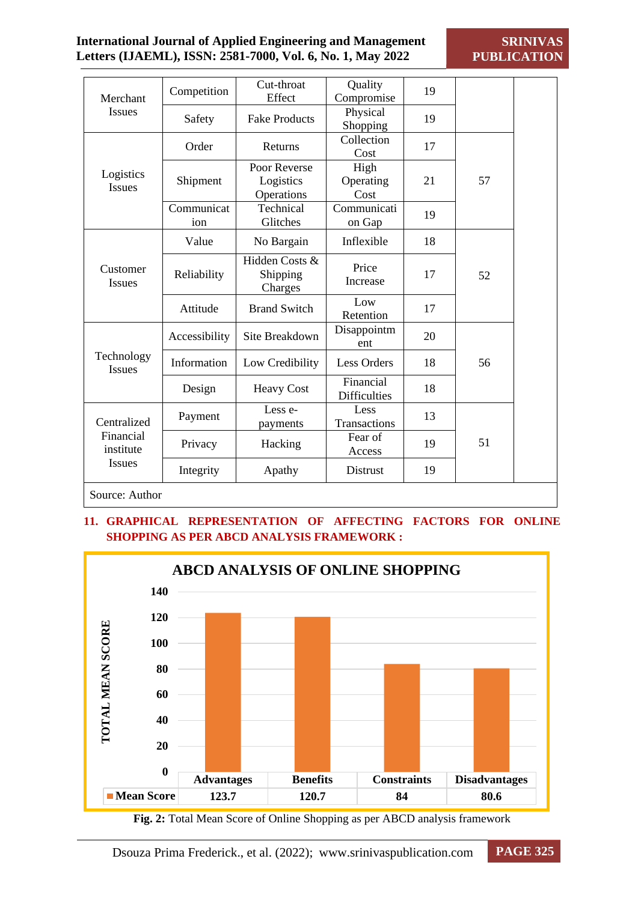| Merchant                                        | Competition       | Cut-throat<br>Effect                    | Quality<br>Compromise            | 19 |    |  |
|-------------------------------------------------|-------------------|-----------------------------------------|----------------------------------|----|----|--|
| <b>Issues</b>                                   | Safety            | <b>Fake Products</b>                    | Physical<br>Shopping             | 19 |    |  |
|                                                 | Order             | Returns                                 | Collection<br>Cost               | 17 |    |  |
| Logistics<br>Issues                             | Shipment          | Poor Reverse<br>Logistics<br>Operations | High<br>Operating<br>Cost        | 21 | 57 |  |
|                                                 | Communicat<br>ion | Technical<br>Glitches                   | Communicati<br>on Gap            | 19 |    |  |
|                                                 | Value             | No Bargain                              | Inflexible                       | 18 |    |  |
| Customer<br><b>Issues</b>                       | Reliability       | Hidden Costs &<br>Shipping<br>Charges   | Price<br>Increase                | 17 | 52 |  |
|                                                 | Attitude          | <b>Brand Switch</b>                     | Low<br>Retention                 | 17 |    |  |
|                                                 | Accessibility     | Site Breakdown                          | Disappointm<br>ent               | 20 |    |  |
| Technology<br><b>Issues</b>                     | Information       | Low Credibility                         | <b>Less Orders</b>               | 18 | 56 |  |
|                                                 | Design            | <b>Heavy Cost</b>                       | Financial<br><b>Difficulties</b> | 18 |    |  |
| Centralized<br>Financial<br>institute<br>Issues | Payment           | Less e-<br>payments                     | Less<br>Transactions             | 13 |    |  |
|                                                 | Privacy           | Hacking                                 | Fear of<br>Access                | 19 | 51 |  |
|                                                 | Integrity         | Apathy                                  | Distrust                         | 19 |    |  |

Source: Author

# **11. GRAPHICAL REPRESENTATION OF AFFECTING FACTORS FOR ONLINE SHOPPING AS PER ABCD ANALYSIS FRAMEWORK :**



**Fig. 2:** Total Mean Score of Online Shopping as per ABCD analysis framework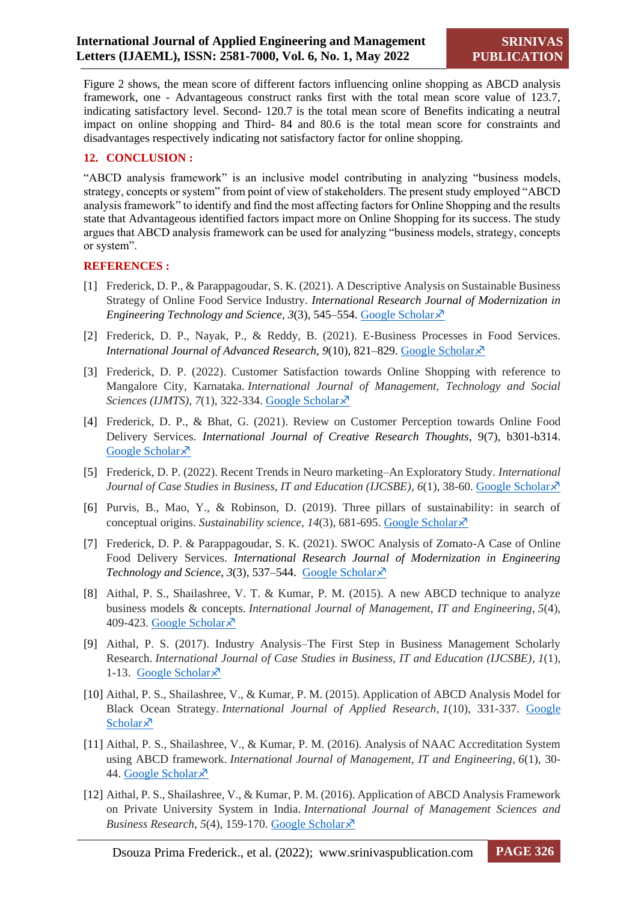Figure 2 shows, the mean score of different factors influencing online shopping as ABCD analysis framework, one - Advantageous construct ranks first with the total mean score value of 123.7, indicating satisfactory level. Second- 120.7 is the total mean score of Benefits indicating a neutral impact on online shopping and Third- 84 and 80.6 is the total mean score for constraints and disadvantages respectively indicating not satisfactory factor for online shopping.

#### **12. CONCLUSION :**

"ABCD analysis framework" is an inclusive model contributing in analyzing "business models, strategy, concepts or system" from point of view of stakeholders. The present study employed "ABCD analysis framework" to identify and find the most affecting factors for Online Shopping and the results state that Advantageous identified factors impact more on Online Shopping for its success. The study argues that ABCD analysis framework can be used for analyzing "business models, strategy, concepts or system".

#### **REFERENCES :**

- [1] Frederick, D. P., & Parappagoudar, S. K. (2021). A Descriptive Analysis on Sustainable Business Strategy of Online Food Service Industry. *International Research Journal of Modernization in Engineering Technology and Science, 3(3), 545–554. [Google Scholar](https://scholar.google.com/scholar?hl=en&as_sdt=0%2C5&q=A+DESCRIPTIVE+ANALYSIS+ON+SUSTAINABLE+BUSINESS+STRATEGY+OF+ONLINE+FOOD+SERVICE+INDUSTRY&btnG=)* $\lambda$ *<sup>7</sup>*
- [2] Frederick, D. P., Nayak, P., & Reddy, B. (2021). E-Business Processes in Food Services. *International Journal of Advanced Research, 9(10), 821–829. [Google Scholar](https://scholar.google.com/scholar?hl=en&as_sdt=0%2C5&q=E-BUSINESS+PROCESSES+IN+FOOD+SERVICES%2C&btnG=)* $\lambda$ *<sup>7</sup>*
- [3] Frederick, D. P. (2022). Customer Satisfaction towards Online Shopping with reference to Mangalore City, Karnataka. *International Journal of Management, Technology and Social Sciences (IJMTS)*, *7*(1), 322-334. [Google Scholar](https://scholar.google.com/scholar?cluster=4195185415985971260&hl=en&as_sdt=0,5)  $\lambda$ <sup>7</sup>
- [4] Frederick, D. P., & Bhat, G. (2021). Review on Customer Perception towards Online Food Delivery Services. *International Journal of Creative Research Thoughts*, 9(7), b301-b314. [Google Scholar](https://scholar.google.com/scholar?hl=en&as_sdt=0%2C5&q=Review+on+Customer+Perception+Towards+Online+Food+Delivery+Services&btnG=) ×
- [5] Frederick, D. P. (2022). Recent Trends in Neuro marketing–An Exploratory Study. *International Journal of Case Studies in Business, IT and Education (IJCSBE), 6(1), 38-60. [Google Scholar](https://scholar.google.com/scholar?cluster=17693339254514511380&hl=en&as_sdt=0,5)*  $\chi$
- [6] Purvis, B., Mao, Y., & Robinson, D. (2019). Three pillars of sustainability: in search of conceptual origins. *Sustainability science*, *14*(3), 681-695. [Google Scholar](https://scholar.google.com/scholar?hl=en&as_sdt=0%2C5&q=Three+pillars+of+sustainability%3A+in+search+of+conceptual+origins%2C&btnG=)
- [7] Frederick, D. P. & Parappagoudar, S. K. (2021). SWOC Analysis of Zomato-A Case of Online Food Delivery Services. *International Research Journal of Modernization in Engineering Technology and Science*, *3*(3), 537–544. [Google Scholar](https://scholar.google.com/scholar?hl=en&as_sdt=0%2C5&q=SWOC+ANALYSIS+OF+ZOMATO+%E2%80%93+A+CASE+OF+ONLINE+FOOD+DELIVERY+SERVICES&btnG=)
- [8] Aithal, P. S., Shailashree, V. T. & Kumar, P. M. (2015). A new ABCD technique to analyze business models & concepts. *International Journal of Management, IT and Engineering*, *5*(4), 409-423. [Google Scholar](https://scholar.google.com/scholar?hl=en&as_sdt=0%2C5&q=A+New+ABCD+Technique+to+Analyze+Business+Models+%26+Concepts&btnG=) ×
- [9] Aithal, P. S. (2017). Industry Analysis–The First Step in Business Management Scholarly Research. *International Journal of Case Studies in Business, IT and Education (IJCSBE)*, *1*(1), 1-13. [Google Scholar](https://scholar.google.com/scholar?hl=en&as_sdt=0%2C5&q=Industry+Analysis-+The+First+Step+in+Business+Management+Scholarly+Research%2C&btnG=) $\lambda$
- [10] Aithal, P. S., Shailashree, V., & Kumar, P. M. (2015). Application of ABCD Analysis Model for Black Ocean Strategy. *International Journal of Applied Research*, *1*(10), 331-337. [Google](https://scholar.google.com/scholar?hl=en&as_sdt=0%2C5&q=Application+of+ABCD+Analysis+Model+for+Black+Ocean+Strategy&btnG=)  [Scholar](https://scholar.google.com/scholar?hl=en&as_sdt=0%2C5&q=Application+of+ABCD+Analysis+Model+for+Black+Ocean+Strategy&btnG=) $\lambda$
- [11] Aithal, P. S., Shailashree, V., & Kumar, P. M. (2016). Analysis of NAAC Accreditation System using ABCD framework. *International Journal of Management, IT and Engineering*, *6*(1), 30- 44. [Google Scholar](https://scholar.google.com/scholar?hl=en&as_sdt=0%2C5&q=Analysis+of+NAAC+Accreditation+System+using+ABCD+Framework&btnG=) ×
- [12] Aithal, P. S., Shailashree, V., & Kumar, P. M. (2016). Application of ABCD Analysis Framework on Private University System in India. *International Journal of Management Sciences and Business Research*, 5(4), 159-170. [Google Scholar](https://scholar.google.com/scholar?hl=en&as_sdt=0%2C5&q=THE+STUDY+OF+NEW+NATIONAL+INSTITUTIONAL+RANKING+SYSTEM+USING+ABCD+FRAMEWORK&btnG=) $\overline{\mathcal{X}}$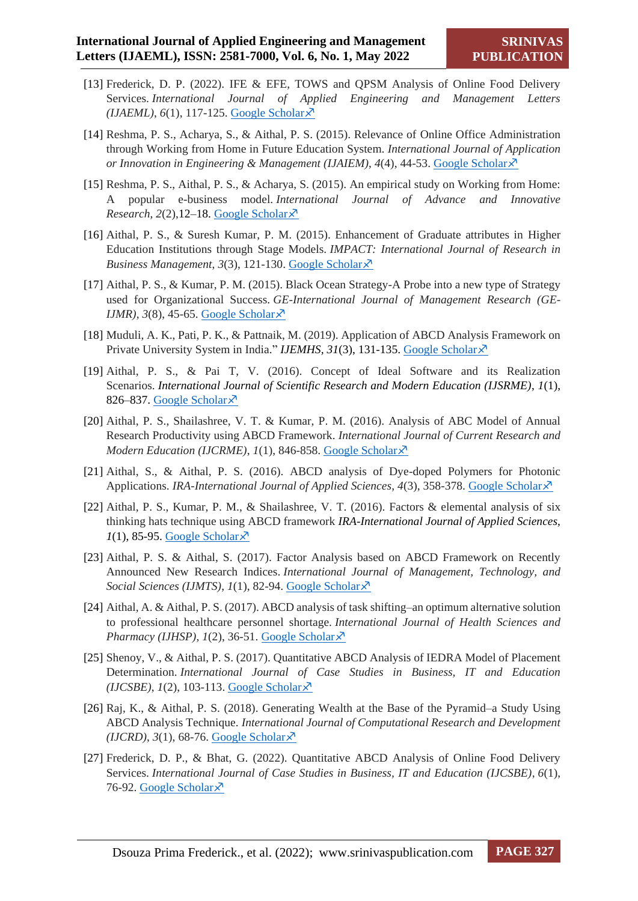- [13] Frederick, D. P. (2022). IFE & EFE, TOWS and QPSM Analysis of Online Food Delivery Services. *International Journal of Applied Engineering and Management Letters (IJAEML)*, *6*(1), 117-125. [Google Scholar](https://scholar.google.com/scholar?hl=en&as_sdt=0%2C5&q=%5B21%5D%09Frederick%2C+D.+P.+%282022%29.+IFE+%26+EFE%2C+TOWS+and+QPSM+Analysis+of+Online+Food+Delivery+Services.+International+Journal+of+Applied+Engineering+and+Management+Letters+%28IJAEML%29%2C+6%281%29%2C+117-125.+&btnG=)
- [14] Reshma, P. S., Acharya, S., & Aithal, P. S. (2015). Relevance of Online Office Administration through Working from Home in Future Education System. *International Journal of Application or Innovation in Engineering & Management (IJAIEM)*, 4(4), 44-53[. Google Scholar](https://scholar.google.com/scholar?hl=en&as_sdt=0%2C5&q=%E2%80%9CRelevance+of+On-line+Office+Administration+through+Working+from+Home+in+Future+Education+System.%E2%80%9D+&btnG=) $\overline{X}$
- [15] Reshma, P. S., Aithal, P. S., & Acharya, S. (2015). An empirical study on Working from Home: A popular e-business model. *International Journal of Advance and Innovative Research*,  $2(2)$ ,  $12-18$ . [Google Scholar](https://scholar.google.com/scholar?hl=en&as_sdt=0%2C5&q=AN+EMPIRICAL+STUDY+ON+WORKING+FROM+HOME%3A+A+POPULAR+E-BUSINESS+MODEL%2C%E2%80%9D&btnG=) $\overline{\mathcal{X}}$
- [16] Aithal, P. S., & Suresh Kumar, P. M. (2015). Enhancement of Graduate attributes in Higher Education Institutions through Stage Models. *IMPACT: International Journal of Research in Business Management*, 3(3), 121-130. [Google Scholar](https://scholar.google.com/scholar?hl=en&as_sdt=0%2C5&q=%E2%80%9CEnhancement+of+Graduate+attributes+in+Higher+Education+Institutions+through+Stage+Models%2C%E2%80%9D+&btnG=)  $\times$
- [17] Aithal, P. S., & Kumar, P. M. (2015). Black Ocean Strategy-A Probe into a new type of Strategy used for Organizational Success. *GE-International Journal of Management Research (GE-IJMR*),  $3(8)$ , 45-65. [Google Scholar](https://scholar.google.com/scholar?hl=en&as_sdt=0%2C5&q=Black+Ocean+Strategy-A+Probe+into+a+new+type+of+Strategy+used+for+Organizational+Success.%2C%E2%80%9D+&btnG=) $\overline{x}$
- [18] Muduli, A. K., Pati, P. K., & Pattnaik, M. (2019). Application of ABCD Analysis Framework on Private University System in India." *IJEMHS*, 31(3), 131-135. [Google Scholar](https://scholar.google.com/scholar?hl=en&as_sdt=0%2C5&q=Application+of+ABCD+Analysis+Framework+on+Private+University+System+in+India&btnG=)  $\lambda$ <sup>5</sup>
- [19] Aithal, P. S., & Pai T, V. (2016). Concept of Ideal Software and its Realization Scenarios. *International Journal of Scientific Research and Modern Education (IJSRME)*, *1*(1), 826–837. [Google Scholar](https://scholar.google.com/scholar?hl=en&as_sdt=0%2C5&q=CONCEPT+OF+IDEAL+SOFTWARE+AND+ITS+REALIZATION+SCENARIOS%2C%E2%80%9D&btnG=) ×
- [20] Aithal, P. S., Shailashree, V. T. & Kumar, P. M. (2016). Analysis of ABC Model of Annual Research Productivity using ABCD Framework. *International Journal of Current Research and Modern Education (IJCRME)*, *1*(1), 846-858. [Google Scholar](https://scholar.google.com/scholar?hl=en&as_sdt=0%2C5&q=Analysis+of+ABC+Model+of+Annual+Research+Productivity+using+ABCD+Framework%2C%E2%80%9D&btnG=)  $\times$
- [21] Aithal, S., & Aithal, P. S. (2016). ABCD analysis of Dye-doped Polymers for Photonic Applications. *IRA-International Journal of Applied Sciences*, 4(3), 358-378. [Google Scholar](https://scholar.google.com/scholar?hl=en&as_sdt=0%2C5&q=%E2%80%9CABCD+analysis+of+Dye-doped+Polymers+for+Photonic+Applications%2C&btnG=)  $\overline{X}$
- [22] Aithal, P. S., Kumar, P. M., & Shailashree, V. T. (2016). Factors & elemental analysis of six thinking hats technique using ABCD framework *IRA-International Journal of Applied Sciences,*   $1(1)$ , 85-95. [Google Scholar](https://scholar.google.com/scholar?hl=en&as_sdt=0%2C5&q=%E2%80%9CFactors+%26+Elemental+Analysis+of+Six+Thinking+Hats+Technique+Using+ABCD+Framework%2C%E2%80%9D+&btnG=) $\bar{x}$
- [23] Aithal, P. S. & Aithal, S. (2017). Factor Analysis based on ABCD Framework on Recently Announced New Research Indices. *International Journal of Management, Technology, and Social Sciences (IJMTS)*, *1*(1), 82-94. [Google Scholar](https://scholar.google.com/scholar?hl=en&as_sdt=0%2C5&q=%E2%80%9CFactor+Analysis+based+on+ABCD+Framework+on+Recently+Announced+New+Research+Indices&btnG=)
- [24] Aithal, A. & Aithal, P. S. (2017). ABCD analysis of task shifting–an optimum alternative solution to professional healthcare personnel shortage. *International Journal of Health Sciences and Pharmacy (IJHSP)*,  $I(2)$ , 36-51[. Google Scholar](https://scholar.google.com/scholar?hl=en&as_sdt=0%2C5&q=%E2%80%9CABCD+Analysis+of+Task+Shifting-An+optimum+Alternative+Solution+to+Professional+Healthcare+Personnel+Shortage&btnG=) $\overline{X}$
- [25] Shenoy, V., & Aithal, P. S. (2017). Quantitative ABCD Analysis of IEDRA Model of Placement Determination. *International Journal of Case Studies in Business, IT and Education*   $(IJCSBE)$ ,  $I(2)$ , 103-113. [Google Scholar](https://scholar.google.com/scholar?hl=en&as_sdt=0%2C5&q=%E2%80%9CQuantitative+ABCD+Analysis+of+IEDRA+Model+of+Placement+Determination%2C%E2%80%9D+&btnG=) $\lambda$ <sup>7</sup>
- [26] Raj, K., & Aithal, P. S. (2018). Generating Wealth at the Base of the Pyramid–a Study Using ABCD Analysis Technique. *International Journal of Computational Research and Development*   $(IJCRD), 3(1), 68-76.$  [Google Scholar](https://scholar.google.com/scholar?q=%E2%80%9CGenerating+Wealth+at+the+Base+of+the+Pyramid-A+Study+using+ABCD+Analysis+Technique&hl=en&as_sdt=0,5) $\times$
- [27] Frederick, D. P., & Bhat, G. (2022). Quantitative ABCD Analysis of Online Food Delivery Services. *International Journal of Case Studies in Business, IT and Education (IJCSBE)*, *6*(1), 76-92. [Google Scholar](https://scholar.google.com/scholar?hl=en&as_sdt=0%2C5&q=Quantitative+ABCD+Analysis+of+Online+Food+Delivery+Services&btnG=) ×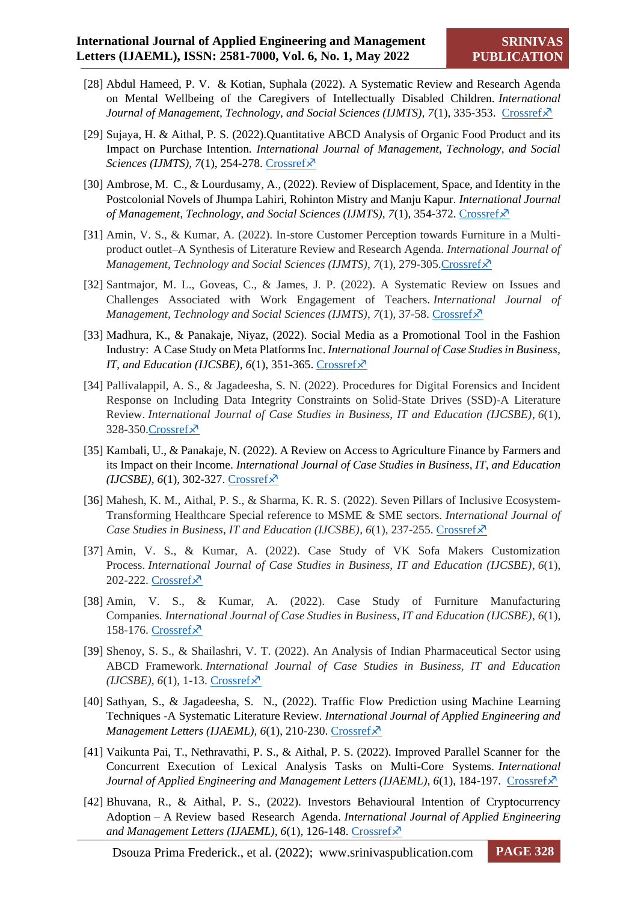- [28] Abdul Hameed, P. V. & Kotian, Suphala (2022). A Systematic Review and Research Agenda on Mental Wellbeing of the Caregivers of Intellectually Disabled Children. *International Journal of Management, Technology, and Social Sciences (IJMTS), 7(1), 335-353. [Crossref](https://doi.org/10.5281/zenodo.6501978)*
- [29] Sujaya, H. & Aithal, P. S. (2022).Quantitative ABCD Analysis of Organic Food Product and its Impact on Purchase Intention*. International Journal of Management, Technology, and Social Sciences (IJMTS), 7(1), 254-278. [Crossref](https://doi.org/10.5281/zenodo.6415352.)*  $\times$
- [30] Ambrose, M. C., & Lourdusamy, A., (2022). Review of Displacement, Space, and Identity in the Postcolonial Novels of Jhumpa Lahiri, Rohinton Mistry and Manju Kapur*. International Journal of Management, Technology, and Social Sciences (IJMTS), 7(1), 354-372. [Crossref](https://doi.org/10.5281/zenodo.6502009.)*
- [31] Amin, V. S., & Kumar, A. (2022). In-store Customer Perception towards Furniture in a Multiproduct outlet–A Synthesis of Literature Review and Research Agenda. *International Journal of Management, Technology and Social Sciences (IJMTS), 7(1), 279-305. Crossref*  $\times$
- [32] Santmajor, M. L., Goveas, C., & James, J. P. (2022). A Systematic Review on Issues and Challenges Associated with Work Engagement of Teachers. *International Journal of Management, Technology and Social Sciences (IJMTS)*, *7*(1), 37-58. [Crossref](https://doi.org/10.5281/zenodo.5896729)
- [33] Madhura, K., & Panakaje, Niyaz, (2022). Social Media as a Promotional Tool in the Fashion Industry: A Case Study on Meta Platforms Inc. *International Journal of Case Studies in Business, IT, and Education (IJCSBE), 6(1), 351-365.* [Crossref](https://doi.org/10.5281/zenodo.6539695) $\overline{X}$
- [34] Pallivalappil, A. S., & Jagadeesha, S. N. (2022). Procedures for Digital Forensics and Incident Response on Including Data Integrity Constraints on Solid-State Drives (SSD)-A Literature Review. *International Journal of Case Studies in Business, IT and Education (IJCSBE)*, *6*(1), 328-350[.Crossref](https://doi.org/10.5281/zenodo.6513305) $\lambda$
- [35] Kambali, U., & Panakaje, N. (2022). A Review on Access to Agriculture Finance by Farmers and its Impact on their Income. *International Journal of Case Studies in Business, IT, and Education*   $(IJCSBE)$ ,  $6(1)$ , 302-327. [Crossref](https://doi.org/10.5281/zenodo.6513302) $\overline{\times}$
- [36] Mahesh, K. M., Aithal, P. S., & Sharma, K. R. S. (2022). Seven Pillars of Inclusive Ecosystem-Transforming Healthcare Special reference to MSME & SME sectors. *International Journal of Case Studies in Business, IT and Education (IJCSBE), 6(1), 237-255. [Crossref](https://doi.org/10.5281/zenodo.6470994)x<sup>3</sup>*
- [37] Amin, V. S., & Kumar, A. (2022). Case Study of VK Sofa Makers Customization Process. *International Journal of Case Studies in Business, IT and Education (IJCSBE)*, *6*(1), 202-222. [Crossref](https://doi.org/10.5281/zenodo.6463490) ×
- [38] Amin, V. S., & Kumar, A. (2022). Case Study of Furniture Manufacturing Companies. *International Journal of Case Studies in Business, IT and Education (IJCSBE)*, *6*(1), 158-176. [Crossref](https://doi.org/10.5281/zenodo.6394567) ×
- [39] Shenoy, S. S., & Shailashri, V. T. (2022). An Analysis of Indian Pharmaceutical Sector using ABCD Framework. *International Journal of Case Studies in Business, IT and Education*   $(IJCSBE)$ ,  $6(1)$ , 1-13. [Crossref](https://doi.org/10.5281/zenodo.5889767) $\overline{\times}$
- [40] Sathyan, S., & Jagadeesha, S. N., (2022). Traffic Flow Prediction using Machine Learning Techniques -A Systematic Literature Review. *International Journal of Applied Engineering and Management Letters (IJAEML), 6(1), 210-230. [Crossref](https://doi.org/10.5281/zenodo.6479158)*
- [41] Vaikunta Pai, T., Nethravathi, P. S., & Aithal, P. S. (2022). Improved Parallel Scanner for the Concurrent Execution of Lexical Analysis Tasks on Multi-Core Systems. *International Journal of Applied Engineering and Management Letters (IJAEML), 6(1), 184-197.* [Crossref](https://doi.org/10.5281/zenodo.6375532) $\chi$ <sup>3</sup>
- [42] Bhuvana, R., & Aithal, P. S., (2022). Investors Behavioural Intention of Cryptocurrency Adoption – A Review based Research Agenda. *International Journal of Applied Engineering*  and Management Letters (IJAEML), 6(1), 126-148. [Crossref](https://doi.org/10.5281/zenodo.6341840)x<sup>7</sup>